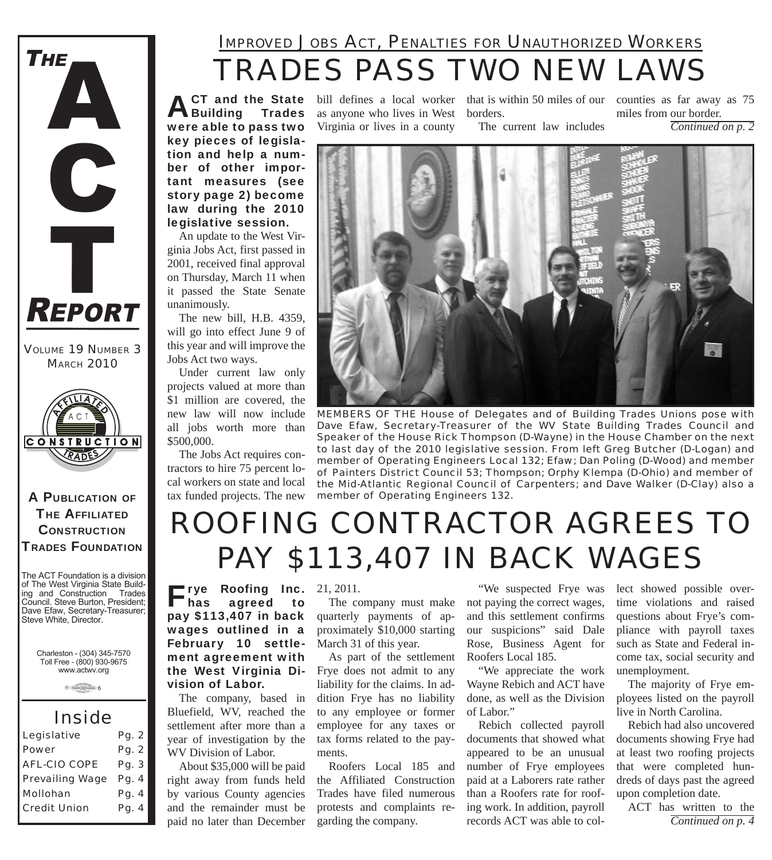

*VOLUME 19 NUMBER 3 MARCH 2010*



A PUBLICATION OF **THE AFFILIATED CONSTRUCTION** TRADES FOUNDATION

The ACT Foundation is a division of The West Virginia State Building and Construction Trades Council. Steve Burton, President; Dave Efaw, Secretary-Treasurer; Steve White, Director.

Charleston - (304) 345-7570 Toll Free - (800) 930-9675 www.actwv.org

 $A$  (TADES  $\frac{\text{maximize}}{\text{maximize}}$  6

### *Inside*

| Legislative            | Pg. 2 |
|------------------------|-------|
| <b>Power</b>           | Pg. 2 |
| <b>AFL-CIO COPE</b>    | Pg. 3 |
| <b>Prevailing Wage</b> | Pg. 4 |
| Mollohan               | Pg. 4 |
| <b>Credit Union</b>    | Pg. 4 |
|                        |       |

## *TRADES PASS TWO NEW LAWS IMPROVED JOBS ACT, PENALTIES FOR UNAUTHORIZED WORKERS*

**ACT and the State State** were able to pass two key pieces of legislation and help a number of other important measures (see story page 2) become law during the 2010 legislative session.

An update to the West Virginia Jobs Act, first passed in 2001, received final approval on Thursday, March 11 when it passed the State Senate unanimously.

The new bill, H.B. 4359, will go into effect June 9 of this year and will improve the Jobs Act two ways.

Under current law only projects valued at more than \$1 million are covered, the new law will now include all jobs worth more than \$500,000.

The Jobs Act requires contractors to hire 75 percent local workers on state and local tax funded projects. The new

pay \$113,407 in back wages outlined in a February 10 settlement agreement with the West Virginia Di-

The company, based in Bluefield, WV, reached the settlement after more than a year of investigation by the

About \$35,000 will be paid right away from funds held by various County agencies and the remainder must be paid no later than December

vision of Labor.

WV Division of Labor.

as anyone who lives in West borders. Virginia or lives in a county

bill defines a local worker that is within 50 miles of our counties as far away as 75 miles from our border.

The current law includes

*Continued on p. 2*



*MEMBERS OF THE House of Delegates and of Building Trades Unions pose with Dave Efaw, Secretary-Treasurer of the WV State Building Trades Council and Speaker of the House Rick Thompson (D-Wayne) in the House Chamber on the next to last day of the 2010 legislative session. From left Greg Butcher (D-Logan) and member of Operating Engineers Local 132; Efaw; Dan Poling (D-Wood) and member of Painters District Council 53; Thompson; Orphy Klempa (D-Ohio) and member of the Mid-Atlantic Regional Council of Carpenters; and Dave Walker (D-Clay) also a member of Operating Engineers 132.*

# *ROOFING CONTRACTOR AGREES TO PAY \$113,407 IN BACK WAGES*

Frye Roofing Inc. has agreed to 21, 2011.

The company must make quarterly payments of approximately \$10,000 starting March 31 of this year.

As part of the settlement Frye does not admit to any liability for the claims. In addition Frye has no liability to any employee or former employee for any taxes or tax forms related to the payments.

Roofers Local 185 and the Affiliated Construction Trades have filed numerous protests and complaints regarding the company.

"We suspected Frye was not paying the correct wages, and this settlement confirms our suspicions" said Dale Rose, Business Agent for Roofers Local 185.

"We appreciate the work Wayne Rebich and ACT have done, as well as the Division of Labor."

Rebich collected payroll documents that showed what appeared to be an unusual number of Frye employees paid at a Laborers rate rather than a Roofers rate for roofing work. In addition, payroll records ACT was able to collect showed possible overtime violations and raised questions about Frye's compliance with payroll taxes such as State and Federal income tax, social security and unemployment.

The majority of Frye employees listed on the payroll live in North Carolina.

Rebich had also uncovered documents showing Frye had at least two roofing projects that were completed hundreds of days past the agreed upon completion date.

ACT has written to the *Continued on p. 4*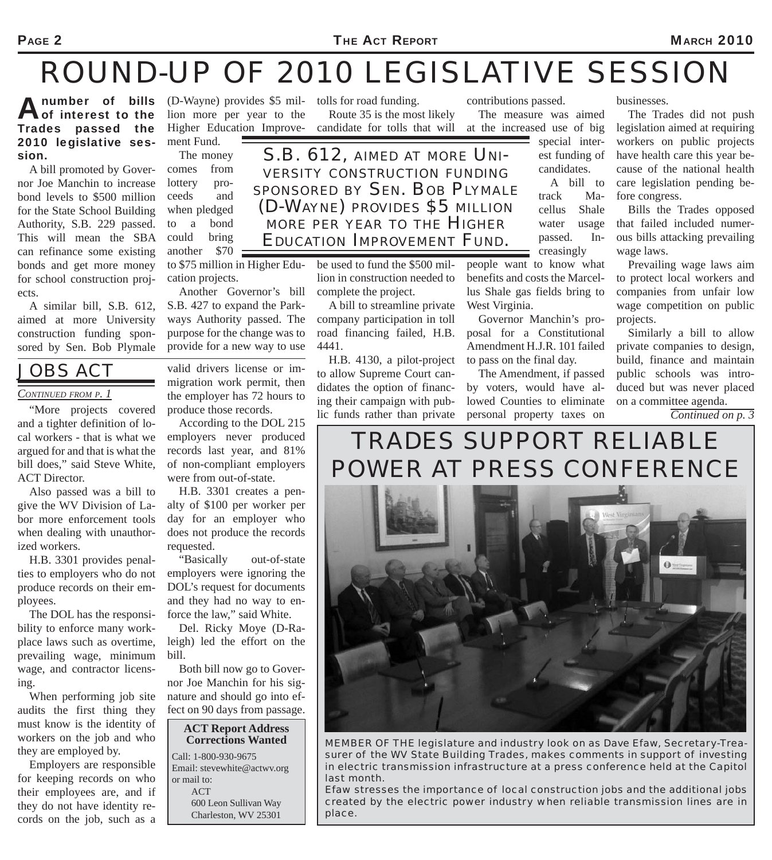#### PAGE 2 MARCH 2010

# *ROUND-UP OF 2010 LEGISLATIVE SESSION*

A number of bills (D-Wayne) provides \$5 mil-<br>
of interest to the lion more per year to the Route 35 is the mos of interest to the Trades passed the 2010 legislative session.

A bill promoted by Governor Joe Manchin to increase bond levels to \$500 million for the State School Building Authority, S.B. 229 passed. This will mean the SBA can refinance some existing bonds and get more money for school construction projects.

A similar bill, S.B. 612, aimed at more University construction funding sponsored by Sen. Bob Plymale

### *JOBS ACT*

#### *CONTINUED FROM P. 1*

and a tighter definition of local workers - that is what we argued for and that is what the bill does," said Steve White, ACT Director.

Also passed was a bill to give the WV Division of Labor more enforcement tools when dealing with unauthorized workers.

H.B. 3301 provides penalties to employers who do not produce records on their employees.

The DOL has the responsibility to enforce many workplace laws such as overtime, prevailing wage, minimum wage, and contractor licensing.

When performing job site audits the first thing they must know is the identity of workers on the job and who they are employed by.

Employers are responsible for keeping records on who their employees are, and if they do not have identity records on the job, such as a

lion more per year to the Higher Education Improvement Fund.

comes from lottery proceeds and when pledged to a bond could bring another \$70 to \$75 million in Higher Education projects.

Another Governor's bill S.B. 427 to expand the Parkways Authority passed. The purpose for the change was to provide for a new way to use

valid drivers license or immigration work permit, then the employer has 72 hours to produce those records.

According to the DOL 215 employers never produced records last year, and 81% of non-compliant employers were from out-of-state.

H.B. 3301 creates a penalty of \$100 per worker per day for an employer who does not produce the records requested.

"Basically out-of-state employers were ignoring the DOL's request for documents and they had no way to enforce the law," said White.

Del. Ricky Moye (D-Raleigh) led the effort on the bill.

Both bill now go to Governor Joe Manchin for his signature and should go into effect on 90 days from passage.



Route 35 is the most likely candidate for tolls that will

*S.B. 612, AIMED AT MORE UNI- VERSITY CONSTRUCTION FUNDING SPONSORED BY SEN. BOB PLYMALE (D-WAYNE) PROVIDES \$5 MILLION MORE PER YEAR TO THE HIGHER EDUCATION IMPROVEMENT FUND.*

> be used to fund the \$500 million in construction needed to complete the project.

A bill to streamline private company participation in toll road financing failed, H.B. 4441.

H.B. 4130, a pilot-project to allow Supreme Court candidates the option of financing their campaign with public funds rather than private

contributions passed.

The measure was aimed at the increased use of big

> special interest funding of candidates.

A bill to track Macellus Shale water usage passed. Increasingly

people want to know what benefits and costs the Marcellus Shale gas fields bring to West Virginia.

Governor Manchin's proposal for a Constitutional Amendment H.J.R. 101 failed to pass on the final day.

The Amendment, if passed by voters, would have allowed Counties to eliminate personal property taxes on EXERVALUED FROM F. 1 The employer has  $\frac{1}{2}$  hours to ing their campaign with pub-<br>"More projects covered produce those records.

businesses.

The Trades did not push legislation aimed at requiring workers on public projects have health care this year because of the national health care legislation pending before congress.

Bills the Trades opposed that failed included numerous bills attacking prevailing wage laws.

Prevailing wage laws aim to protect local workers and companies from unfair low wage competition on public projects.

Similarly a bill to allow private companies to design, build, finance and maintain public schools was introduced but was never placed

*Continued on p. 3*

## *TRADES SUPPORT RELIABLE POWER AT PRESS CONFERENCE*



*MEMBER OF THE legislature and industry look on as Dave Efaw, Secretary-Treasurer of the WV State Building Trades, makes comments in support of investing in electric transmission infrastructure at a press conference held at the Capitol last month.*

*Efaw stresses the importance of local construction jobs and the additional jobs created by the electric power industry when reliable transmission lines are in place.*

The money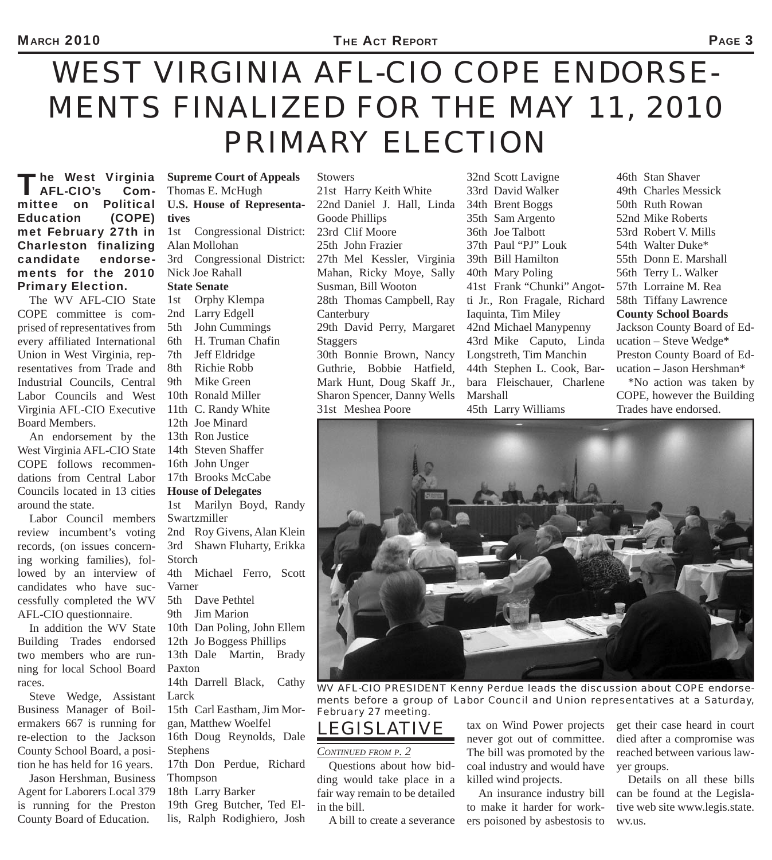# *WEST VIRGINIA AFL-CIO COPE ENDORSE-MENTS FINALIZED FOR THE MAY 11, 2010 PRIMARY ELECTION*

'he West Virginia<br>AFL-CIO's Com-**AFL-CIO's** mittee on Political Education (COPE) met February 27th in Charleston finalizing candidate endorsements for the 2010 Primary Election.

The WV AFL-CIO State COPE committee is comprised of representatives from every affiliated International Union in West Virginia, representatives from Trade and Industrial Councils, Central Labor Councils and West Virginia AFL-CIO Executive Board Members.

An endorsement by the West Virginia AFL-CIO State COPE follows recommendations from Central Labor Councils located in 13 cities around the state.

Labor Council members review incumbent's voting records, (on issues concerning working families), followed by an interview of candidates who have successfully completed the WV AFL-CIO questionnaire.

In addition the WV State Building Trades endorsed two members who are running for local School Board races.

Steve Wedge, Assistant Business Manager of Boilermakers 667 is running for re-election to the Jackson County School Board, a position he has held for 16 years.

Jason Hershman, Business Agent for Laborers Local 379 is running for the Preston County Board of Education.

**Supreme Court of Appeals** Thomas E. McHugh **U.S. House of Representatives** 1st Congressional District: Alan Mollohan 3rd Congressional District: Nick Joe Rahall **State Senate**

1st Orphy Klempa 2nd Larry Edgell 5th John Cummings 6th H. Truman Chafin 7th Jeff Eldridge 8th Richie Robb 9th Mike Green 10th Ronald Miller 11th C. Randy White 12th Joe Minard 13th Ron Justice 14th Steven Shaffer 16th John Unger 17th Brooks McCabe **House of Delegates** 1st Marilyn Boyd, Randy Swartzmiller 2nd Roy Givens, Alan Klein 3rd Shawn Fluharty, Erikka Storch 4th Michael Ferro, Scott Varner 5th Dave Pethtel

9th Jim Marion

- 10th Dan Poling, John Ellem
- 12th Jo Boggess Phillips
- 13th Dale Martin, Brady Paxton

14th Darrell Black, Cathy Larck

15th Carl Eastham, Jim Morgan, Matthew Woelfel 16th Doug Reynolds, Dale **Stephens** 

17th Don Perdue, Richard Thompson

18th Larry Barker 19th Greg Butcher, Ted Ellis, Ralph Rodighiero, Josh

Stowers 21st Harry Keith White 22nd Daniel J. Hall, Linda Goode Phillips 23rd Clif Moore 25th John Frazier 27th Mel Kessler, Virginia Mahan, Ricky Moye, Sally Susman, Bill Wooton 28th Thomas Campbell, Ray **Canterbury** 29th David Perry, Margaret Staggers 30th Bonnie Brown, Nancy Guthrie, Bobbie Hatfield, Mark Hunt, Doug Skaff Jr., Sharon Spencer, Danny Wells 31st Meshea Poore

32nd Scott Lavigne 33rd David Walker 34th Brent Boggs 35th Sam Argento 36th Joe Talbott 37th Paul "PJ" Louk 39th Bill Hamilton 40th Mary Poling 41st Frank "Chunki" Angotti Jr., Ron Fragale, Richard Iaquinta, Tim Miley 42nd Michael Manypenny 43rd Mike Caputo, Linda Longstreth, Tim Manchin 44th Stephen L. Cook, Barbara Fleischauer, Charlene Marshall 45th Larry Williams

46th Stan Shaver 49th Charles Messick 50th Ruth Rowan 52nd Mike Roberts 53rd Robert V. Mills 54th Walter Duke\* 55th Donn E. Marshall 56th Terry L. Walker 57th Lorraine M. Rea 58th Tiffany Lawrence **County School Boards** Jackson County Board of Education – Steve Wedge\* Preston County Board of Education – Jason Hershman\*

\*No action was taken by COPE, however the Building Trades have endorsed.



*WV AFL-CIO PRESIDENT Kenny Perdue leads the discussion about COPE endorsements before a group of Labor Council and Union representatives at a Saturday, February 27 meeting.*

### *LEGISLATIVE*

#### *CONTINUED FROM P. 2*

Questions about how bidding would take place in a fair way remain to be detailed in the bill.

A bill to create a severance

tax on Wind Power projects never got out of committee. The bill was promoted by the coal industry and would have killed wind projects.

An insurance industry bill to make it harder for workers poisoned by asbestosis to get their case heard in court died after a compromise was reached between various lawyer groups.

Details on all these bills can be found at the Legislative web site www.legis.state. wv.us.